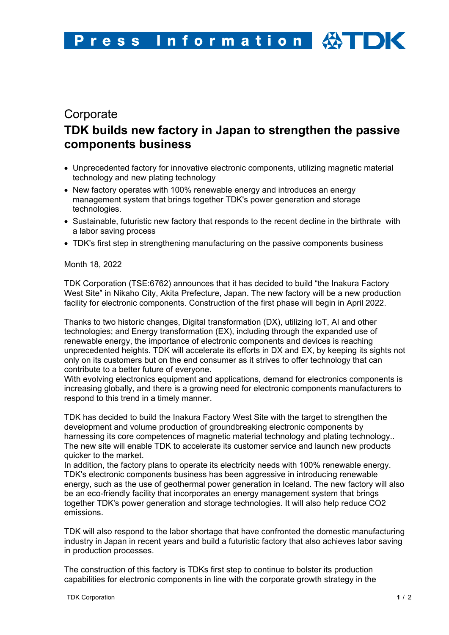# **Corporate TDK builds new factory in Japan to strengthen the passive components business**

- Unprecedented factory for innovative electronic components, utilizing magnetic material technology and new plating technology
- New factory operates with 100% renewable energy and introduces an energy management system that brings together TDK's power generation and storage technologies.
- Sustainable, futuristic new factory that responds to the recent decline in the birthrate with a labor saving process
- TDK's first step in strengthening manufacturing on the passive components business

## Month 18, 2022

TDK Corporation (TSE:6762) announces that it has decided to build "the Inakura Factory West Site" in Nikaho City, Akita Prefecture, Japan. The new factory will be a new production facility for electronic components. Construction of the first phase will begin in April 2022.

Thanks to two historic changes, Digital transformation (DX), utilizing IoT, AI and other technologies; and Energy transformation (EX), including through the expanded use of renewable energy, the importance of electronic components and devices is reaching unprecedented heights. TDK will accelerate its efforts in DX and EX, by keeping its sights not only on its customers but on the end consumer as it strives to offer technology that can contribute to a better future of everyone.

With evolving electronics equipment and applications, demand for electronics components is increasing globally, and there is a growing need for electronic components manufacturers to respond to this trend in a timely manner.

TDK has decided to build the Inakura Factory West Site with the target to strengthen the development and volume production of groundbreaking electronic components by harnessing its core competences of magnetic material technology and plating technology.. The new site will enable TDK to accelerate its customer service and launch new products quicker to the market.

In addition, the factory plans to operate its electricity needs with 100% renewable energy. TDK's electronic components business has been aggressive in introducing renewable energy, such as the use of geothermal power generation in Iceland. The new factory will also be an eco-friendly facility that incorporates an energy management system that brings together TDK's power generation and storage technologies. It will also help reduce CO2 emissions.

TDK will also respond to the labor shortage that have confronted the domestic manufacturing industry in Japan in recent years and build a futuristic factory that also achieves labor saving in production processes.

The construction of this factory is TDKs first step to continue to bolster its production capabilities for electronic components in line with the corporate growth strategy in the